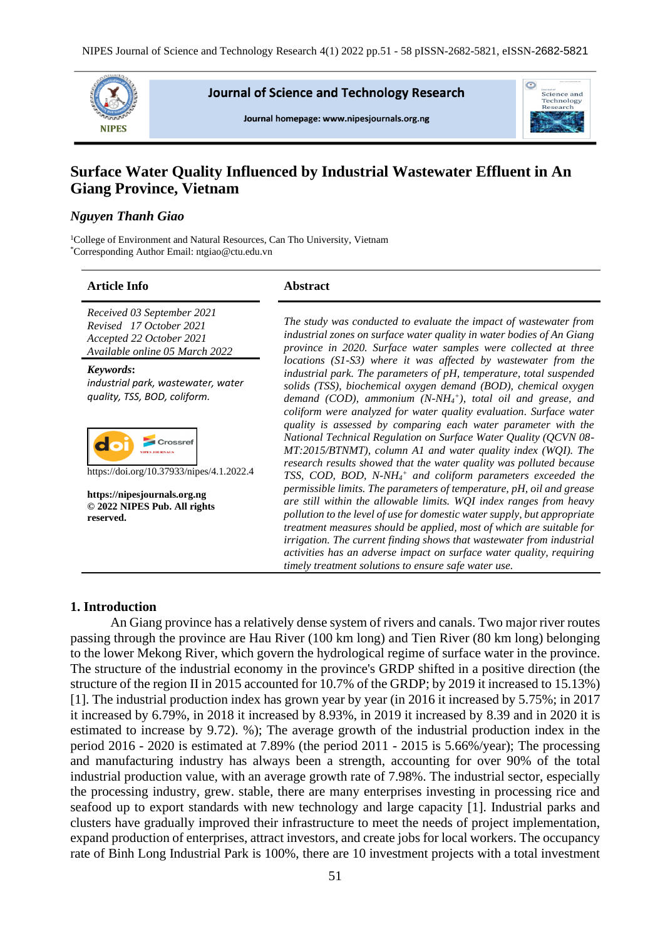

**Journal of Science and Technology Research** 

Journal homepage: www.nipesjournals.org.ng



# **Surface Water Quality Influenced by Industrial Wastewater Effluent in An Giang Province, Vietnam**

# *Nguyen Thanh Giao*

<sup>1</sup>College of Environment and Natural Resources, Can Tho University, Vietnam \*Corresponding Author Email: ntgiao@ctu.edu.vn

#### **Article Info Abstract**

*Received 03 September 2021 Revised 17 October 2021 Accepted 22 October 2021 Available online 05 March 2022*

*Keywords***:** *industrial park, wastewater, water quality, TSS, BOD, coliform.*



https://doi.org/10.37933/nipes/4.1.2022.4

**https://nipesjournals.org.ng © 2022 NIPES Pub. All rights reserved.**

*The study was conducted to evaluate the impact of wastewater from industrial zones on surface water quality in water bodies of An Giang province in 2020. Surface water samples were collected at three locations (S1-S3) where it was affected by wastewater from the industrial park. The parameters of pH, temperature, total suspended solids (TSS), biochemical oxygen demand (BOD), chemical oxygen demand (COD), ammonium (N-NH<sup>4</sup> + ), total oil and grease, and coliform were analyzed for water quality evaluation. Surface water quality is assessed by comparing each water parameter with the National Technical Regulation on Surface Water Quality (QCVN 08- MT:2015/BTNMT), column A1 and water quality index (WQI). The research results showed that the water quality was polluted because TSS, COD, BOD, N-NH<sup>4</sup> <sup>+</sup> and coliform parameters exceeded the permissible limits. The parameters of temperature, pH, oil and grease are still within the allowable limits. WQI index ranges from heavy pollution to the level of use for domestic water supply, but appropriate treatment measures should be applied, most of which are suitable for irrigation. The current finding shows that wastewater from industrial activities has an adverse impact on surface water quality, requiring timely treatment solutions to ensure safe water use.*

# **1. Introduction**

An Giang province has a relatively dense system of rivers and canals. Two major river routes passing through the province are Hau River (100 km long) and Tien River (80 km long) belonging to the lower Mekong River, which govern the hydrological regime of surface water in the province. The structure of the industrial economy in the province's GRDP shifted in a positive direction (the structure of the region II in 2015 accounted for 10.7% of the GRDP; by 2019 it increased to 15.13%) [1]. The industrial production index has grown year by year (in 2016 it increased by 5.75%; in 2017 it increased by 6.79%, in 2018 it increased by 8.93%, in 2019 it increased by 8.39 and in 2020 it is estimated to increase by 9.72). %); The average growth of the industrial production index in the period 2016 - 2020 is estimated at 7.89% (the period 2011 - 2015 is 5.66%/year); The processing and manufacturing industry has always been a strength, accounting for over 90% of the total industrial production value, with an average growth rate of 7.98%. The industrial sector, especially the processing industry, grew. stable, there are many enterprises investing in processing rice and seafood up to export standards with new technology and large capacity [1]. Industrial parks and clusters have gradually improved their infrastructure to meet the needs of project implementation, expand production of enterprises, attract investors, and create jobs for local workers. The occupancy rate of Binh Long Industrial Park is 100%, there are 10 investment projects with a total investment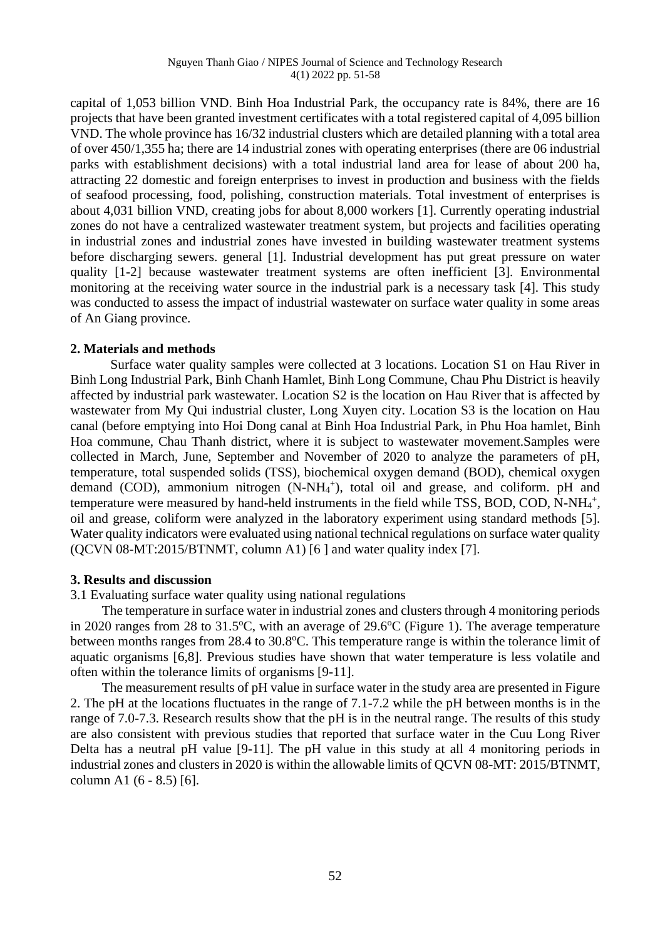capital of 1,053 billion VND. Binh Hoa Industrial Park, the occupancy rate is 84%, there are 16 projects that have been granted investment certificates with a total registered capital of 4,095 billion VND. The whole province has 16/32 industrial clusters which are detailed planning with a total area of over 450/1,355 ha; there are 14 industrial zones with operating enterprises (there are 06 industrial parks with establishment decisions) with a total industrial land area for lease of about 200 ha, attracting 22 domestic and foreign enterprises to invest in production and business with the fields of seafood processing, food, polishing, construction materials. Total investment of enterprises is about 4,031 billion VND, creating jobs for about 8,000 workers [1]. Currently operating industrial zones do not have a centralized wastewater treatment system, but projects and facilities operating in industrial zones and industrial zones have invested in building wastewater treatment systems before discharging sewers. general [1]. Industrial development has put great pressure on water quality [1-2] because wastewater treatment systems are often inefficient [3]. Environmental monitoring at the receiving water source in the industrial park is a necessary task [4]. This study was conducted to assess the impact of industrial wastewater on surface water quality in some areas of An Giang province.

# **2. Materials and methods**

Surface water quality samples were collected at 3 locations. Location S1 on Hau River in Binh Long Industrial Park, Binh Chanh Hamlet, Binh Long Commune, Chau Phu District is heavily affected by industrial park wastewater. Location S2 is the location on Hau River that is affected by wastewater from My Qui industrial cluster, Long Xuyen city. Location S3 is the location on Hau canal (before emptying into Hoi Dong canal at Binh Hoa Industrial Park, in Phu Hoa hamlet, Binh Hoa commune, Chau Thanh district, where it is subject to wastewater movement.Samples were collected in March, June, September and November of 2020 to analyze the parameters of pH, temperature, total suspended solids (TSS), biochemical oxygen demand (BOD), chemical oxygen demand (COD), ammonium nitrogen (N-NH<sub>4</sub><sup>+</sup>), total oil and grease, and coliform. pH and temperature were measured by hand-held instruments in the field while TSS, BOD, COD, N-NH<sub>4</sub><sup>+</sup>, oil and grease, coliform were analyzed in the laboratory experiment using standard methods [5]. Water quality indicators were evaluated using national technical regulations on surface water quality (QCVN 08-MT:2015/BTNMT, column A1) [6 ] and water quality index [7].

### **3. Results and discussion**

3.1 Evaluating surface water quality using national regulations

The temperature in surface water in industrial zones and clusters through 4 monitoring periods in 2020 ranges from 28 to  $31.5^{\circ}$ C, with an average of 29.6 $^{\circ}$ C (Figure 1). The average temperature between months ranges from 28.4 to 30.8°C. This temperature range is within the tolerance limit of aquatic organisms [6,8]. Previous studies have shown that water temperature is less volatile and often within the tolerance limits of organisms [9-11].

The measurement results of pH value in surface water in the study area are presented in Figure 2. The pH at the locations fluctuates in the range of 7.1-7.2 while the pH between months is in the range of 7.0-7.3. Research results show that the pH is in the neutral range. The results of this study are also consistent with previous studies that reported that surface water in the Cuu Long River Delta has a neutral pH value [9-11]. The pH value in this study at all 4 monitoring periods in industrial zones and clusters in 2020 is within the allowable limits of QCVN 08-MT: 2015/BTNMT, column A1 (6 - 8.5) [6].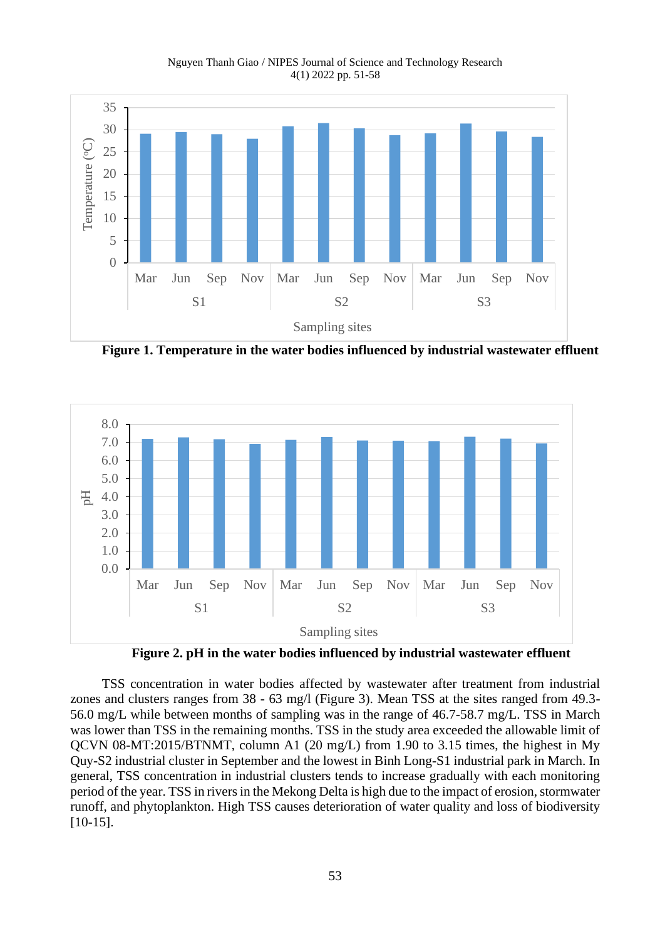Nguyen Thanh Giao / NIPES Journal of Science and Technology Research 4(1) 2022 pp. 51-58



**Figure 1. Temperature in the water bodies influenced by industrial wastewater effluent**



**Figure 2. pH in the water bodies influenced by industrial wastewater effluent**

TSS concentration in water bodies affected by wastewater after treatment from industrial zones and clusters ranges from 38 - 63 mg/l (Figure 3). Mean TSS at the sites ranged from 49.3- 56.0 mg/L while between months of sampling was in the range of 46.7-58.7 mg/L. TSS in March was lower than TSS in the remaining months. TSS in the study area exceeded the allowable limit of QCVN 08-MT:2015/BTNMT, column A1 (20 mg/L) from 1.90 to 3.15 times, the highest in My Quy-S2 industrial cluster in September and the lowest in Binh Long-S1 industrial park in March. In general, TSS concentration in industrial clusters tends to increase gradually with each monitoring period of the year. TSS in rivers in the Mekong Delta is high due to the impact of erosion, stormwater runoff, and phytoplankton. High TSS causes deterioration of water quality and loss of biodiversity [10-15].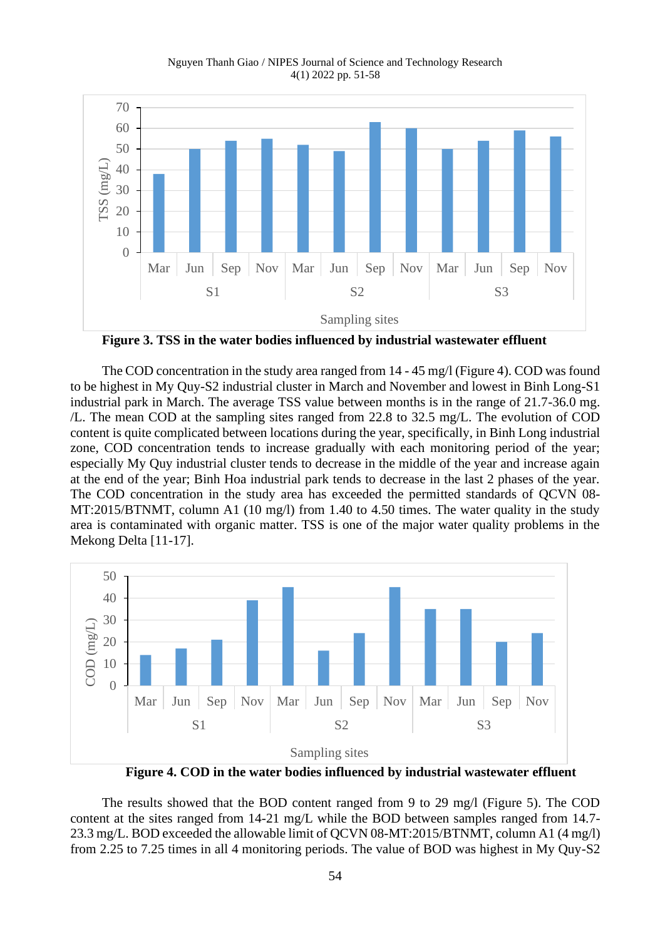Nguyen Thanh Giao / NIPES Journal of Science and Technology Research 4(1) 2022 pp. 51-58



**Figure 3. TSS in the water bodies influenced by industrial wastewater effluent**

The COD concentration in the study area ranged from 14 - 45 mg/l (Figure 4). COD was found to be highest in My Quy-S2 industrial cluster in March and November and lowest in Binh Long-S1 industrial park in March. The average TSS value between months is in the range of 21.7-36.0 mg. /L. The mean COD at the sampling sites ranged from 22.8 to 32.5 mg/L. The evolution of COD content is quite complicated between locations during the year, specifically, in Binh Long industrial zone, COD concentration tends to increase gradually with each monitoring period of the year; especially My Quy industrial cluster tends to decrease in the middle of the year and increase again at the end of the year; Binh Hoa industrial park tends to decrease in the last 2 phases of the year. The COD concentration in the study area has exceeded the permitted standards of QCVN 08- MT:2015/BTNMT, column A1 (10 mg/l) from 1.40 to 4.50 times. The water quality in the study area is contaminated with organic matter. TSS is one of the major water quality problems in the Mekong Delta [11-17].



**Figure 4. COD in the water bodies influenced by industrial wastewater effluent**

The results showed that the BOD content ranged from 9 to 29 mg/l (Figure 5). The COD content at the sites ranged from 14-21 mg/L while the BOD between samples ranged from 14.7- 23.3 mg/L. BOD exceeded the allowable limit of QCVN 08-MT:2015/BTNMT, column A1 (4 mg/l) from 2.25 to 7.25 times in all 4 monitoring periods. The value of BOD was highest in My Quy-S2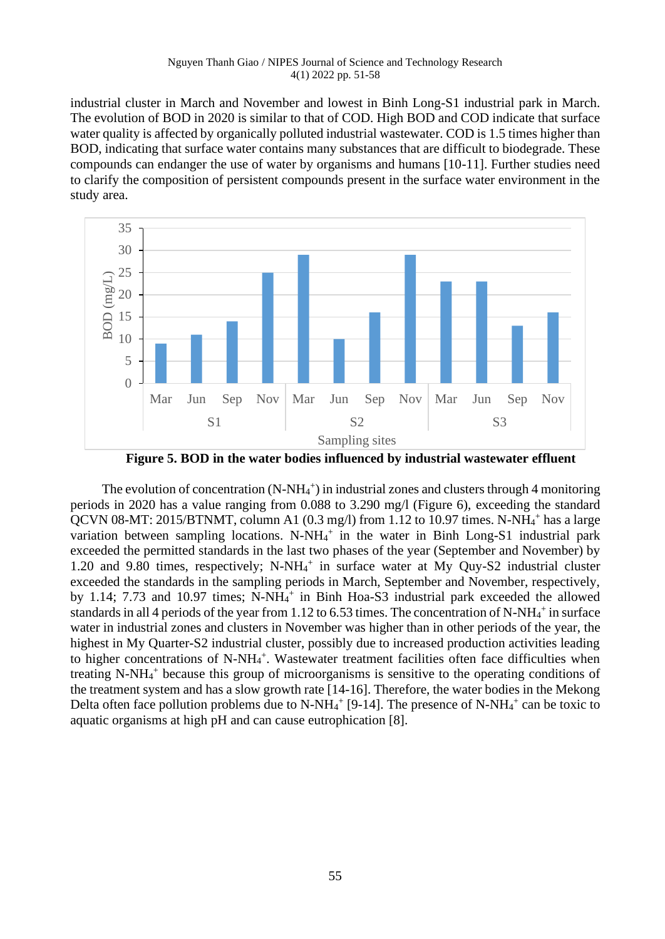industrial cluster in March and November and lowest in Binh Long-S1 industrial park in March. The evolution of BOD in 2020 is similar to that of COD. High BOD and COD indicate that surface water quality is affected by organically polluted industrial wastewater. COD is 1.5 times higher than BOD, indicating that surface water contains many substances that are difficult to biodegrade. These compounds can endanger the use of water by organisms and humans [10-11]. Further studies need to clarify the composition of persistent compounds present in the surface water environment in the study area.



**Figure 5. BOD in the water bodies influenced by industrial wastewater effluent**

The evolution of concentration  $(N-NH_4^+)$  in industrial zones and clusters through 4 monitoring periods in 2020 has a value ranging from 0.088 to 3.290 mg/l (Figure 6), exceeding the standard QCVN 08-MT: 2015/BTNMT, column A1 (0.3 mg/l) from 1.12 to 10.97 times. N-NH<sub>4</sub><sup>+</sup> has a large variation between sampling locations. N-NH<sub>4</sub><sup>+</sup> in the water in Binh Long-S1 industrial park exceeded the permitted standards in the last two phases of the year (September and November) by 1.20 and 9.80 times, respectively; N-NH<sub>4</sub><sup>+</sup> in surface water at My Quy-S2 industrial cluster exceeded the standards in the sampling periods in March, September and November, respectively, by 1.14; 7.73 and 10.97 times; N-NH<sub>4</sub><sup>+</sup> in Binh Hoa-S3 industrial park exceeded the allowed standards in all 4 periods of the year from 1.12 to 6.53 times. The concentration of N-NH $_4^+$  in surface water in industrial zones and clusters in November was higher than in other periods of the year, the highest in My Quarter-S2 industrial cluster, possibly due to increased production activities leading to higher concentrations of N-NH<sub>4</sub><sup>+</sup>. Wastewater treatment facilities often face difficulties when treating N-NH<sub>4</sub><sup>+</sup> because this group of microorganisms is sensitive to the operating conditions of the treatment system and has a slow growth rate [14-16]. Therefore, the water bodies in the Mekong Delta often face pollution problems due to N-NH $_4^+$  [9-14]. The presence of N-NH $_4^+$  can be toxic to aquatic organisms at high pH and can cause eutrophication [8].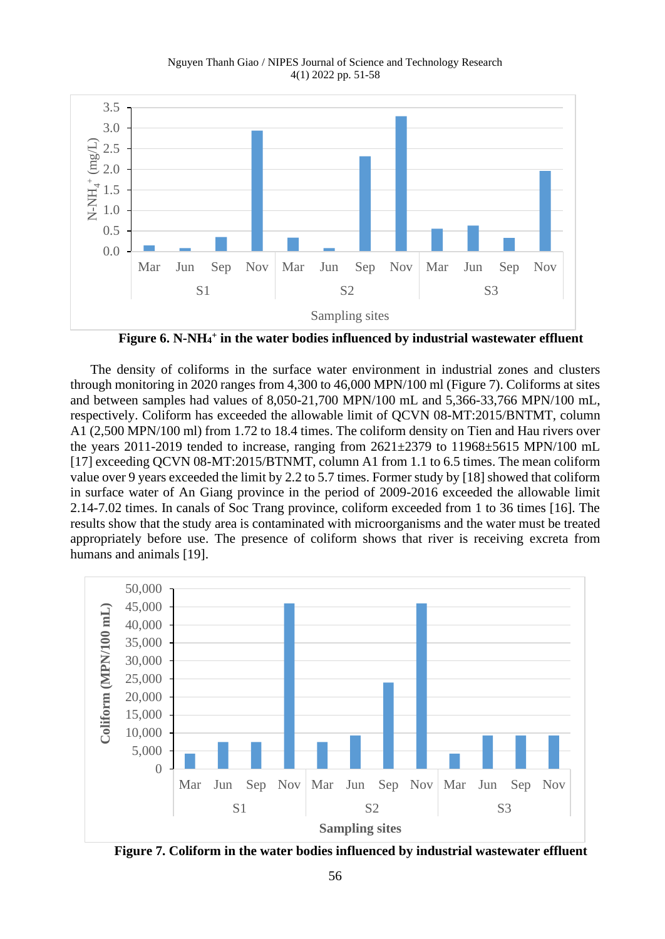Nguyen Thanh Giao / NIPES Journal of Science and Technology Research 4(1) 2022 pp. 51-58



**Figure 6. N-NH<sup>4</sup> + in the water bodies influenced by industrial wastewater effluent**

The density of coliforms in the surface water environment in industrial zones and clusters through monitoring in 2020 ranges from 4,300 to 46,000 MPN/100 ml (Figure 7). Coliforms at sites and between samples had values of 8,050-21,700 MPN/100 mL and 5,366-33,766 MPN/100 mL, respectively. Coliform has exceeded the allowable limit of QCVN 08-MT:2015/BNTMT, column A1 (2,500 MPN/100 ml) from 1.72 to 18.4 times. The coliform density on Tien and Hau rivers over the years 2011-2019 tended to increase, ranging from  $2621\pm2379$  to  $11968\pm5615$  MPN/100 mL [17] exceeding QCVN 08-MT:2015/BTNMT, column A1 from 1.1 to 6.5 times. The mean coliform value over 9 years exceeded the limit by 2.2 to 5.7 times. Former study by [18] showed that coliform in surface water of An Giang province in the period of 2009-2016 exceeded the allowable limit 2.14-7.02 times. In canals of Soc Trang province, coliform exceeded from 1 to 36 times [16]. The results show that the study area is contaminated with microorganisms and the water must be treated appropriately before use. The presence of coliform shows that river is receiving excreta from humans and animals [19].



**Figure 7. Coliform in the water bodies influenced by industrial wastewater effluent**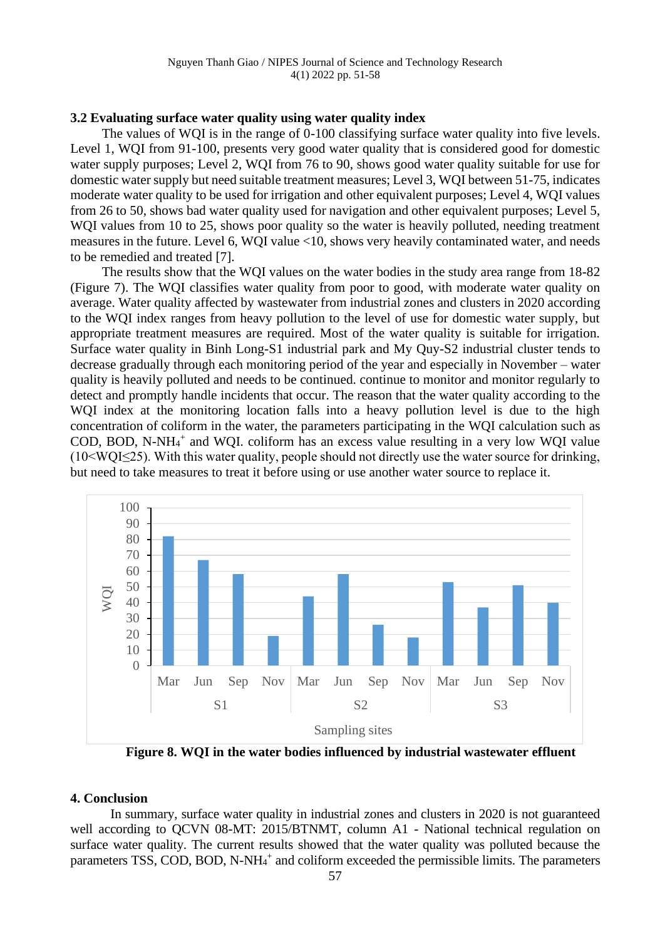## **3.2 Evaluating surface water quality using water quality index**

The values of WQI is in the range of 0-100 classifying surface water quality into five levels. Level 1, WQI from 91-100, presents very good water quality that is considered good for domestic water supply purposes; Level 2, WQI from 76 to 90, shows good water quality suitable for use for domestic water supply but need suitable treatment measures; Level 3, WQI between 51-75, indicates moderate water quality to be used for irrigation and other equivalent purposes; Level 4, WQI values from 26 to 50, shows bad water quality used for navigation and other equivalent purposes; Level 5, WOI values from 10 to 25, shows poor quality so the water is heavily polluted, needing treatment measures in the future. Level 6, WQI value <10, shows very heavily contaminated water, and needs to be remedied and treated [7].

The results show that the WQI values on the water bodies in the study area range from 18-82 (Figure 7). The WQI classifies water quality from poor to good, with moderate water quality on average. Water quality affected by wastewater from industrial zones and clusters in 2020 according to the WQI index ranges from heavy pollution to the level of use for domestic water supply, but appropriate treatment measures are required. Most of the water quality is suitable for irrigation. Surface water quality in Binh Long-S1 industrial park and My Quy-S2 industrial cluster tends to decrease gradually through each monitoring period of the year and especially in November – water quality is heavily polluted and needs to be continued. continue to monitor and monitor regularly to detect and promptly handle incidents that occur. The reason that the water quality according to the WQI index at the monitoring location falls into a heavy pollution level is due to the high concentration of coliform in the water, the parameters participating in the WQI calculation such as COD, BOD, N-NH $_4$ <sup>+</sup> and WQI. coliform has an excess value resulting in a very low WQI value  $(10 \le WQI \le 25)$ . With this water quality, people should not directly use the water source for drinking, but need to take measures to treat it before using or use another water source to replace it.



**Figure 8. WQI in the water bodies influenced by industrial wastewater effluent**

### **4. Conclusion**

In summary, surface water quality in industrial zones and clusters in 2020 is not guaranteed well according to QCVN 08-MT: 2015/BTNMT, column A1 - National technical regulation on surface water quality. The current results showed that the water quality was polluted because the parameters TSS, COD, BOD, N-NH<sub>4</sub><sup>+</sup> and coliform exceeded the permissible limits. The parameters